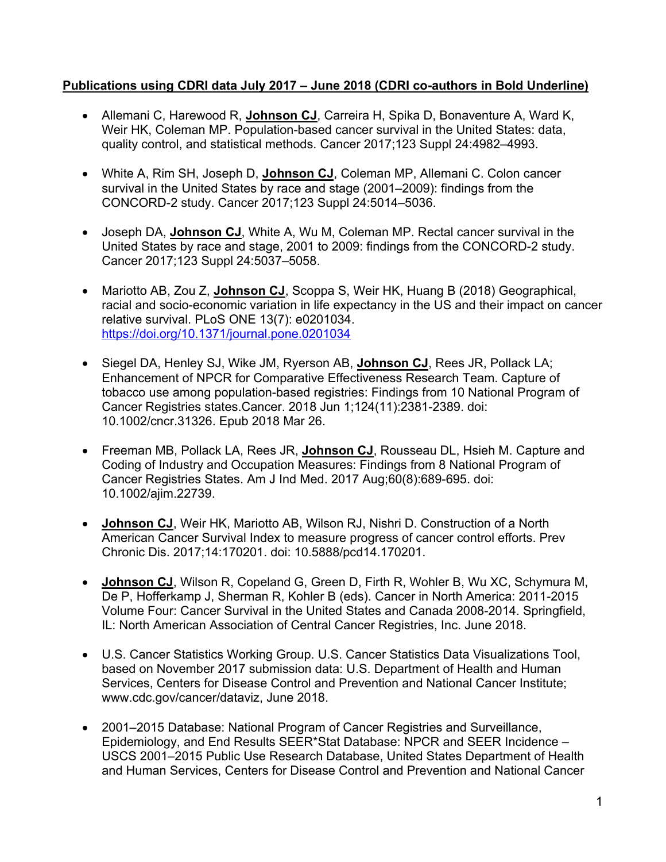#### **Publications using CDRI data July 2017 – June 2018 (CDRI co-authors in Bold Underline)**

- Allemani C, Harewood R, **Johnson CJ**, Carreira H, Spika D, Bonaventure A, Ward K, Weir HK, Coleman MP. Population-based cancer survival in the United States: data, quality control, and statistical methods. Cancer 2017;123 Suppl 24:4982–4993.
- White A, Rim SH, Joseph D, **Johnson CJ**, Coleman MP, Allemani C. Colon cancer survival in the United States by race and stage (2001–2009): findings from the CONCORD-2 study. Cancer 2017;123 Suppl 24:5014–5036.
- Joseph DA, **Johnson CJ**, White A, Wu M, Coleman MP. Rectal cancer survival in the United States by race and stage, 2001 to 2009: findings from the CONCORD-2 study. Cancer 2017;123 Suppl 24:5037–5058.
- Mariotto AB, Zou Z, **Johnson CJ**, Scoppa S, Weir HK, Huang B (2018) Geographical, racial and socio-economic variation in life expectancy in the US and their impact on cancer relative survival. PLoS ONE 13(7): e0201034. https://doi.org/10.1371/journal.pone.0201034
- Siegel DA, Henley SJ, Wike JM, Ryerson AB, **Johnson CJ**, Rees JR, Pollack LA; Enhancement of NPCR for Comparative Effectiveness Research Team. Capture of tobacco use among population-based registries: Findings from 10 National Program of Cancer Registries states.Cancer. 2018 Jun 1;124(11):2381-2389. doi: 10.1002/cncr.31326. Epub 2018 Mar 26.
- Freeman MB, Pollack LA, Rees JR, **Johnson CJ**, Rousseau DL, Hsieh M. Capture and Coding of Industry and Occupation Measures: Findings from 8 National Program of Cancer Registries States. Am J Ind Med. 2017 Aug;60(8):689-695. doi: 10.1002/ajim.22739.
- **Johnson CJ**, Weir HK, Mariotto AB, Wilson RJ, Nishri D. Construction of a North American Cancer Survival Index to measure progress of cancer control efforts. Prev Chronic Dis. 2017;14:170201. doi: 10.5888/pcd14.170201.
- **Johnson CJ**, Wilson R, Copeland G, Green D, Firth R, Wohler B, Wu XC, Schymura M, De P, Hofferkamp J, Sherman R, Kohler B (eds). Cancer in North America: 2011-2015 Volume Four: Cancer Survival in the United States and Canada 2008-2014. Springfield, IL: North American Association of Central Cancer Registries, Inc. June 2018.
- U.S. Cancer Statistics Working Group. U.S. Cancer Statistics Data Visualizations Tool, based on November 2017 submission data: U.S. Department of Health and Human Services, Centers for Disease Control and Prevention and National Cancer Institute; www.cdc.gov/cancer/dataviz, June 2018.
- 2001–2015 Database: National Program of Cancer Registries and Surveillance, Epidemiology, and End Results SEER\*Stat Database: NPCR and SEER Incidence – USCS 2001–2015 Public Use Research Database, United States Department of Health and Human Services, Centers for Disease Control and Prevention and National Cancer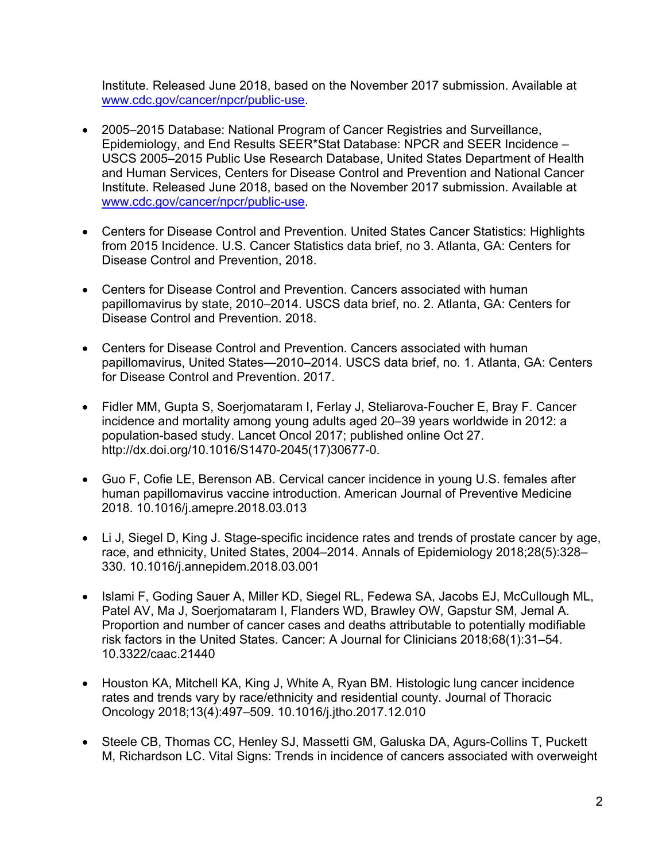Institute. Released June 2018, based on the November 2017 submission. Available at www.cdc.gov/cancer/npcr/public-use.

- 2005–2015 Database: National Program of Cancer Registries and Surveillance, Epidemiology, and End Results SEER\*Stat Database: NPCR and SEER Incidence – USCS 2005–2015 Public Use Research Database, United States Department of Health and Human Services, Centers for Disease Control and Prevention and National Cancer Institute. Released June 2018, based on the November 2017 submission. Available at www.cdc.gov/cancer/npcr/public-use.
- Centers for Disease Control and Prevention. United States Cancer Statistics: Highlights from 2015 Incidence. U.S. Cancer Statistics data brief, no 3. Atlanta, GA: Centers for Disease Control and Prevention, 2018.
- Centers for Disease Control and Prevention. Cancers associated with human papillomavirus by state, 2010–2014. USCS data brief, no. 2. Atlanta, GA: Centers for Disease Control and Prevention. 2018.
- Centers for Disease Control and Prevention. Cancers associated with human papillomavirus, United States—2010–2014. USCS data brief, no. 1. Atlanta, GA: Centers for Disease Control and Prevention. 2017.
- Fidler MM, Gupta S, Soerjomataram I, Ferlay J, Steliarova-Foucher E, Bray F. Cancer incidence and mortality among young adults aged 20–39 years worldwide in 2012: a population-based study. Lancet Oncol 2017; published online Oct 27. http://dx.doi.org/10.1016/S1470-2045(17)30677-0.
- Guo F, Cofie LE, Berenson AB. Cervical cancer incidence in young U.S. females after human papillomavirus vaccine introduction. American Journal of Preventive Medicine 2018. 10.1016/j.amepre.2018.03.013
- Li J, Siegel D, King J. Stage-specific incidence rates and trends of prostate cancer by age, race, and ethnicity, United States, 2004–2014. Annals of Epidemiology 2018;28(5):328– 330. 10.1016/j.annepidem.2018.03.001
- Islami F, Goding Sauer A, Miller KD, Siegel RL, Fedewa SA, Jacobs EJ, McCullough ML, Patel AV, Ma J, Soerjomataram I, Flanders WD, Brawley OW, Gapstur SM, Jemal A. Proportion and number of cancer cases and deaths attributable to potentially modifiable risk factors in the United States. Cancer: A Journal for Clinicians 2018;68(1):31–54. 10.3322/caac.21440
- Houston KA, Mitchell KA, King J, White A, Ryan BM. Histologic lung cancer incidence rates and trends vary by race/ethnicity and residential county. Journal of Thoracic Oncology 2018;13(4):497–509. 10.1016/j.jtho.2017.12.010
- Steele CB, Thomas CC, Henley SJ, Massetti GM, Galuska DA, Agurs-Collins T, Puckett M, Richardson LC. Vital Signs: Trends in incidence of cancers associated with overweight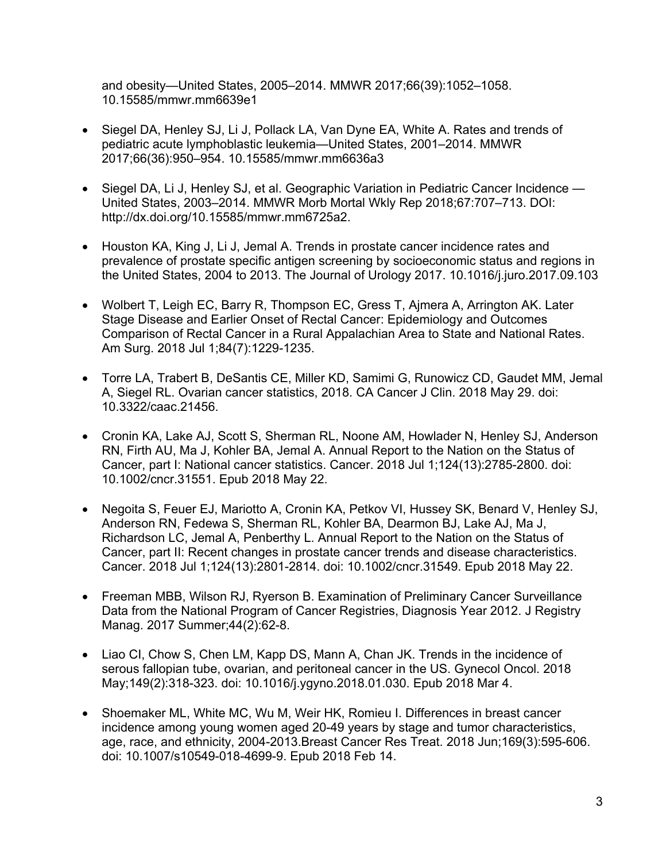and obesity—United States, 2005–2014. MMWR 2017;66(39):1052–1058. 10.15585/mmwr.mm6639e1

- Siegel DA, Henley SJ, Li J, Pollack LA, Van Dyne EA, White A. Rates and trends of pediatric acute lymphoblastic leukemia—United States, 2001–2014. MMWR 2017;66(36):950–954. 10.15585/mmwr.mm6636a3
- Siegel DA, Li J, Henley SJ, et al. Geographic Variation in Pediatric Cancer Incidence United States, 2003–2014. MMWR Morb Mortal Wkly Rep 2018;67:707–713. DOI: http://dx.doi.org/10.15585/mmwr.mm6725a2.
- Houston KA, King J, Li J, Jemal A. Trends in prostate cancer incidence rates and prevalence of prostate specific antigen screening by socioeconomic status and regions in the United States, 2004 to 2013. The Journal of Urology 2017. 10.1016/j.juro.2017.09.103
- Wolbert T, Leigh EC, Barry R, Thompson EC, Gress T, Ajmera A, Arrington AK. Later Stage Disease and Earlier Onset of Rectal Cancer: Epidemiology and Outcomes Comparison of Rectal Cancer in a Rural Appalachian Area to State and National Rates. Am Surg. 2018 Jul 1;84(7):1229-1235.
- Torre LA, Trabert B, DeSantis CE, Miller KD, Samimi G, Runowicz CD, Gaudet MM, Jemal A, Siegel RL. Ovarian cancer statistics, 2018. CA Cancer J Clin. 2018 May 29. doi: 10.3322/caac.21456.
- Cronin KA, Lake AJ, Scott S, Sherman RL, Noone AM, Howlader N, Henley SJ, Anderson RN, Firth AU, Ma J, Kohler BA, Jemal A. Annual Report to the Nation on the Status of Cancer, part I: National cancer statistics. Cancer. 2018 Jul 1;124(13):2785-2800. doi: 10.1002/cncr.31551. Epub 2018 May 22.
- Negoita S, Feuer EJ, Mariotto A, Cronin KA, Petkov VI, Hussey SK, Benard V, Henley SJ, Anderson RN, Fedewa S, Sherman RL, Kohler BA, Dearmon BJ, Lake AJ, Ma J, Richardson LC, Jemal A, Penberthy L. Annual Report to the Nation on the Status of Cancer, part II: Recent changes in prostate cancer trends and disease characteristics. Cancer. 2018 Jul 1;124(13):2801-2814. doi: 10.1002/cncr.31549. Epub 2018 May 22.
- Freeman MBB, Wilson RJ, Ryerson B. Examination of Preliminary Cancer Surveillance Data from the National Program of Cancer Registries, Diagnosis Year 2012. J Registry Manag. 2017 Summer;44(2):62-8.
- Liao CI, Chow S, Chen LM, Kapp DS, Mann A, Chan JK. Trends in the incidence of serous fallopian tube, ovarian, and peritoneal cancer in the US. Gynecol Oncol. 2018 May;149(2):318-323. doi: 10.1016/j.ygyno.2018.01.030. Epub 2018 Mar 4.
- Shoemaker ML, White MC, Wu M, Weir HK, Romieu I. Differences in breast cancer incidence among young women aged 20-49 years by stage and tumor characteristics, age, race, and ethnicity, 2004-2013.Breast Cancer Res Treat. 2018 Jun;169(3):595-606. doi: 10.1007/s10549-018-4699-9. Epub 2018 Feb 14.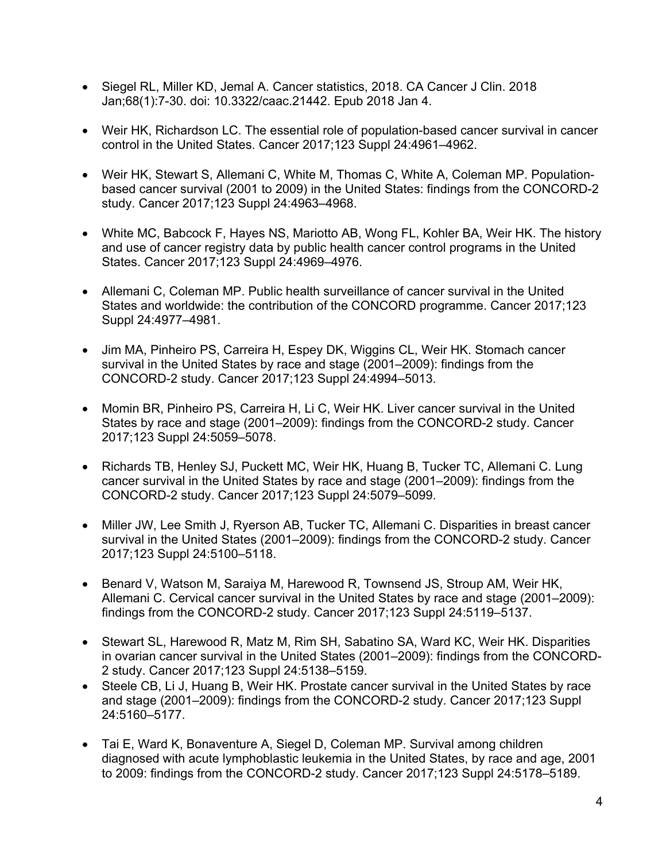- Siegel RL, Miller KD, Jemal A. Cancer statistics, 2018. CA Cancer J Clin. 2018 Jan;68(1):7-30. doi: 10.3322/caac.21442. Epub 2018 Jan 4.
- Weir HK, Richardson LC. The essential role of population-based cancer survival in cancer control in the United States. Cancer 2017;123 Suppl 24:4961–4962.
- Weir HK, Stewart S, Allemani C, White M, Thomas C, White A, Coleman MP. Populationbased cancer survival (2001 to 2009) in the United States: findings from the CONCORD-2 study. Cancer 2017;123 Suppl 24:4963–4968.
- White MC, Babcock F, Hayes NS, Mariotto AB, Wong FL, Kohler BA, Weir HK. The history and use of cancer registry data by public health cancer control programs in the United States. Cancer 2017;123 Suppl 24:4969–4976.
- Allemani C, Coleman MP. Public health surveillance of cancer survival in the United States and worldwide: the contribution of the CONCORD programme. Cancer 2017;123 Suppl 24:4977–4981.
- Jim MA, Pinheiro PS, Carreira H, Espey DK, Wiggins CL, Weir HK. Stomach cancer survival in the United States by race and stage (2001–2009): findings from the CONCORD-2 study. Cancer 2017;123 Suppl 24:4994–5013.
- Momin BR, Pinheiro PS, Carreira H, Li C, Weir HK. Liver cancer survival in the United States by race and stage (2001–2009): findings from the CONCORD-2 study. Cancer 2017;123 Suppl 24:5059–5078.
- Richards TB, Henley SJ, Puckett MC, Weir HK, Huang B, Tucker TC, Allemani C. Lung cancer survival in the United States by race and stage (2001–2009): findings from the CONCORD-2 study. Cancer 2017;123 Suppl 24:5079–5099.
- Miller JW, Lee Smith J, Ryerson AB, Tucker TC, Allemani C. Disparities in breast cancer survival in the United States (2001–2009): findings from the CONCORD-2 study. Cancer 2017;123 Suppl 24:5100–5118.
- Benard V, Watson M, Saraiya M, Harewood R, Townsend JS, Stroup AM, Weir HK, Allemani C. Cervical cancer survival in the United States by race and stage (2001–2009): findings from the CONCORD-2 study. Cancer 2017;123 Suppl 24:5119–5137.
- Stewart SL, Harewood R, Matz M, Rim SH, Sabatino SA, Ward KC, Weir HK. Disparities in ovarian cancer survival in the United States (2001–2009): findings from the CONCORD-2 study. Cancer 2017;123 Suppl 24:5138–5159.
- Steele CB, Li J, Huang B, Weir HK. Prostate cancer survival in the United States by race and stage (2001–2009): findings from the CONCORD-2 study. Cancer 2017;123 Suppl 24:5160–5177.
- Tai E, Ward K, Bonaventure A, Siegel D, Coleman MP. Survival among children diagnosed with acute lymphoblastic leukemia in the United States, by race and age, 2001 to 2009: findings from the CONCORD-2 study. Cancer 2017;123 Suppl 24:5178–5189.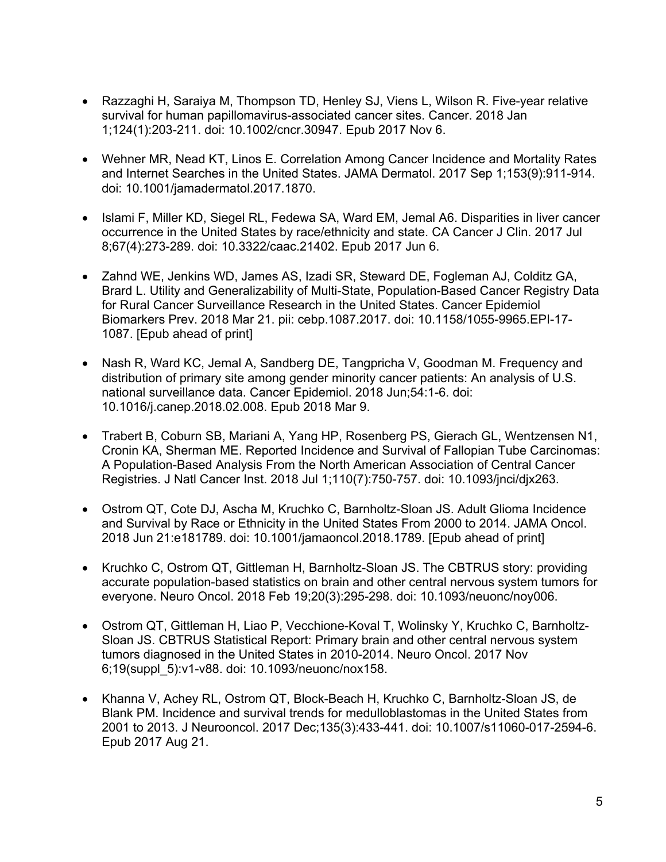- Razzaghi H, Saraiya M, Thompson TD, Henley SJ, Viens L, Wilson R. Five-year relative survival for human papillomavirus-associated cancer sites. Cancer. 2018 Jan 1;124(1):203-211. doi: 10.1002/cncr.30947. Epub 2017 Nov 6.
- Wehner MR, Nead KT, Linos E. Correlation Among Cancer Incidence and Mortality Rates and Internet Searches in the United States. JAMA Dermatol. 2017 Sep 1;153(9):911-914. doi: 10.1001/jamadermatol.2017.1870.
- Islami F, Miller KD, Siegel RL, Fedewa SA, Ward EM, Jemal A6. Disparities in liver cancer occurrence in the United States by race/ethnicity and state. CA Cancer J Clin. 2017 Jul 8;67(4):273-289. doi: 10.3322/caac.21402. Epub 2017 Jun 6.
- Zahnd WE, Jenkins WD, James AS, Izadi SR, Steward DE, Fogleman AJ, Colditz GA, Brard L. Utility and Generalizability of Multi-State, Population-Based Cancer Registry Data for Rural Cancer Surveillance Research in the United States. Cancer Epidemiol Biomarkers Prev. 2018 Mar 21. pii: cebp.1087.2017. doi: 10.1158/1055-9965.EPI-17- 1087. [Epub ahead of print]
- Nash R, Ward KC, Jemal A, Sandberg DE, Tangpricha V, Goodman M. Frequency and distribution of primary site among gender minority cancer patients: An analysis of U.S. national surveillance data. Cancer Epidemiol. 2018 Jun;54:1-6. doi: 10.1016/j.canep.2018.02.008. Epub 2018 Mar 9.
- Trabert B, Coburn SB, Mariani A, Yang HP, Rosenberg PS, Gierach GL, Wentzensen N1, Cronin KA, Sherman ME. Reported Incidence and Survival of Fallopian Tube Carcinomas: A Population-Based Analysis From the North American Association of Central Cancer Registries. J Natl Cancer Inst. 2018 Jul 1;110(7):750-757. doi: 10.1093/jnci/djx263.
- Ostrom QT, Cote DJ, Ascha M, Kruchko C, Barnholtz-Sloan JS. Adult Glioma Incidence and Survival by Race or Ethnicity in the United States From 2000 to 2014. JAMA Oncol. 2018 Jun 21:e181789. doi: 10.1001/jamaoncol.2018.1789. [Epub ahead of print]
- Kruchko C, Ostrom QT, Gittleman H, Barnholtz-Sloan JS. The CBTRUS story: providing accurate population-based statistics on brain and other central nervous system tumors for everyone. Neuro Oncol. 2018 Feb 19;20(3):295-298. doi: 10.1093/neuonc/noy006.
- Ostrom QT, Gittleman H, Liao P, Vecchione-Koval T, Wolinsky Y, Kruchko C, Barnholtz-Sloan JS. CBTRUS Statistical Report: Primary brain and other central nervous system tumors diagnosed in the United States in 2010-2014. Neuro Oncol. 2017 Nov 6;19(suppl\_5):v1-v88. doi: 10.1093/neuonc/nox158.
- Khanna V, Achey RL, Ostrom QT, Block-Beach H, Kruchko C, Barnholtz-Sloan JS, de Blank PM. Incidence and survival trends for medulloblastomas in the United States from 2001 to 2013. J Neurooncol. 2017 Dec;135(3):433-441. doi: 10.1007/s11060-017-2594-6. Epub 2017 Aug 21.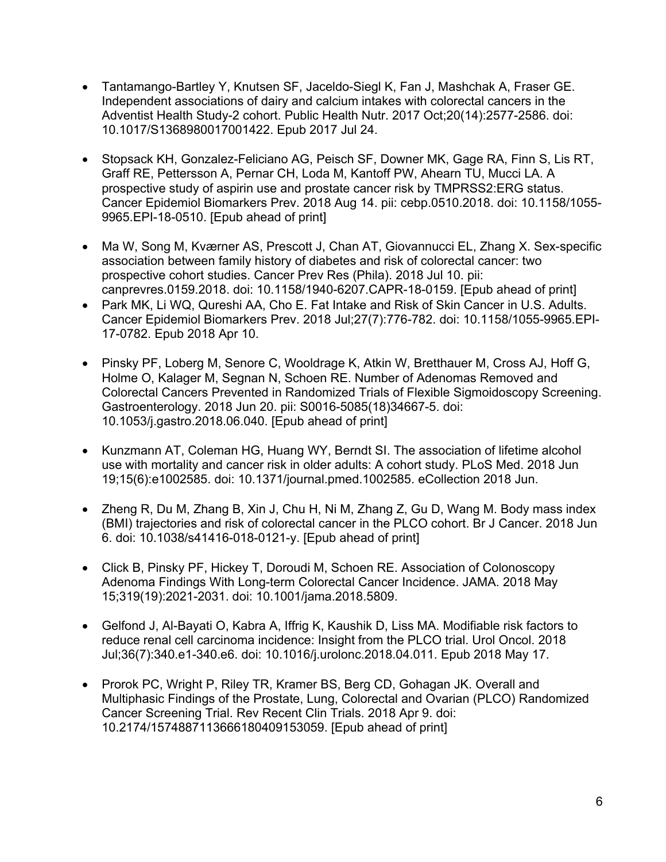- Tantamango-Bartley Y, Knutsen SF, Jaceldo-Siegl K, Fan J, Mashchak A, Fraser GE. Independent associations of dairy and calcium intakes with colorectal cancers in the Adventist Health Study-2 cohort. Public Health Nutr. 2017 Oct;20(14):2577-2586. doi: 10.1017/S1368980017001422. Epub 2017 Jul 24.
- Stopsack KH, Gonzalez-Feliciano AG, Peisch SF, Downer MK, Gage RA, Finn S, Lis RT, Graff RE, Pettersson A, Pernar CH, Loda M, Kantoff PW, Ahearn TU, Mucci LA. A prospective study of aspirin use and prostate cancer risk by TMPRSS2:ERG status. Cancer Epidemiol Biomarkers Prev. 2018 Aug 14. pii: cebp.0510.2018. doi: 10.1158/1055- 9965.EPI-18-0510. [Epub ahead of print]
- Ma W, Song M, Kværner AS, Prescott J, Chan AT, Giovannucci EL, Zhang X. Sex-specific association between family history of diabetes and risk of colorectal cancer: two prospective cohort studies. Cancer Prev Res (Phila). 2018 Jul 10. pii: canprevres.0159.2018. doi: 10.1158/1940-6207.CAPR-18-0159. [Epub ahead of print]
- Park MK, Li WQ, Qureshi AA, Cho E. Fat Intake and Risk of Skin Cancer in U.S. Adults. Cancer Epidemiol Biomarkers Prev. 2018 Jul;27(7):776-782. doi: 10.1158/1055-9965.EPI-17-0782. Epub 2018 Apr 10.
- Pinsky PF, Loberg M, Senore C, Wooldrage K, Atkin W, Bretthauer M, Cross AJ, Hoff G, Holme O, Kalager M, Segnan N, Schoen RE. Number of Adenomas Removed and Colorectal Cancers Prevented in Randomized Trials of Flexible Sigmoidoscopy Screening. Gastroenterology. 2018 Jun 20. pii: S0016-5085(18)34667-5. doi: 10.1053/j.gastro.2018.06.040. [Epub ahead of print]
- Kunzmann AT, Coleman HG, Huang WY, Berndt SI. The association of lifetime alcohol use with mortality and cancer risk in older adults: A cohort study. PLoS Med. 2018 Jun 19;15(6):e1002585. doi: 10.1371/journal.pmed.1002585. eCollection 2018 Jun.
- Zheng R, Du M, Zhang B, Xin J, Chu H, Ni M, Zhang Z, Gu D, Wang M. Body mass index (BMI) trajectories and risk of colorectal cancer in the PLCO cohort. Br J Cancer. 2018 Jun 6. doi: 10.1038/s41416-018-0121-y. [Epub ahead of print]
- Click B, Pinsky PF, Hickey T, Doroudi M, Schoen RE. Association of Colonoscopy Adenoma Findings With Long-term Colorectal Cancer Incidence. JAMA. 2018 May 15;319(19):2021-2031. doi: 10.1001/jama.2018.5809.
- Gelfond J, Al-Bayati O, Kabra A, Iffrig K, Kaushik D, Liss MA. Modifiable risk factors to reduce renal cell carcinoma incidence: Insight from the PLCO trial. Urol Oncol. 2018 Jul;36(7):340.e1-340.e6. doi: 10.1016/j.urolonc.2018.04.011. Epub 2018 May 17.
- Prorok PC, Wright P, Riley TR, Kramer BS, Berg CD, Gohagan JK. Overall and Multiphasic Findings of the Prostate, Lung, Colorectal and Ovarian (PLCO) Randomized Cancer Screening Trial. Rev Recent Clin Trials. 2018 Apr 9. doi: 10.2174/1574887113666180409153059. [Epub ahead of print]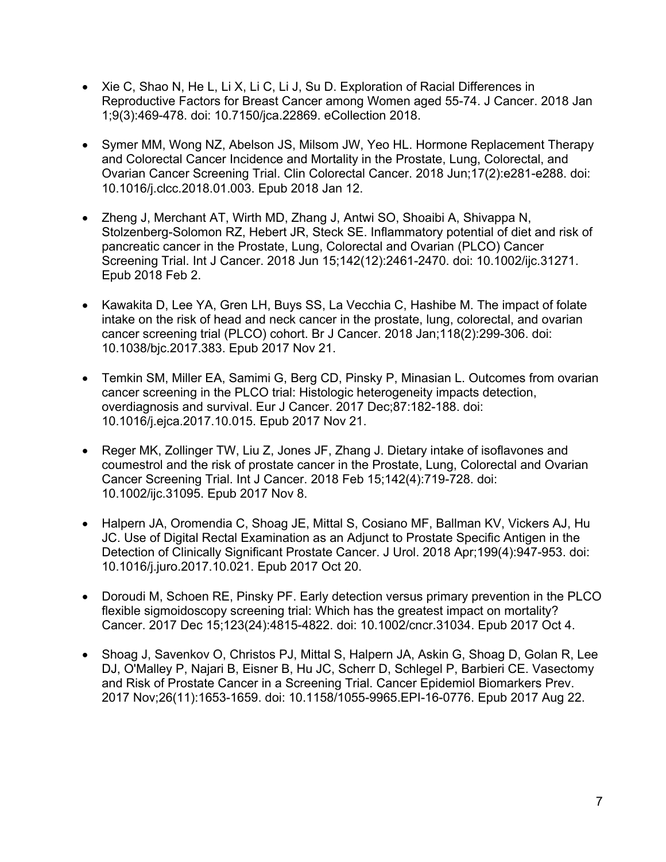- Xie C, Shao N, He L, Li X, Li C, Li J, Su D. Exploration of Racial Differences in Reproductive Factors for Breast Cancer among Women aged 55-74. J Cancer. 2018 Jan 1;9(3):469-478. doi: 10.7150/jca.22869. eCollection 2018.
- Symer MM, Wong NZ, Abelson JS, Milsom JW, Yeo HL. Hormone Replacement Therapy and Colorectal Cancer Incidence and Mortality in the Prostate, Lung, Colorectal, and Ovarian Cancer Screening Trial. Clin Colorectal Cancer. 2018 Jun;17(2):e281-e288. doi: 10.1016/j.clcc.2018.01.003. Epub 2018 Jan 12.
- Zheng J, Merchant AT, Wirth MD, Zhang J, Antwi SO, Shoaibi A, Shivappa N, Stolzenberg-Solomon RZ, Hebert JR, Steck SE. Inflammatory potential of diet and risk of pancreatic cancer in the Prostate, Lung, Colorectal and Ovarian (PLCO) Cancer Screening Trial. Int J Cancer. 2018 Jun 15;142(12):2461-2470. doi: 10.1002/ijc.31271. Epub 2018 Feb 2.
- Kawakita D, Lee YA, Gren LH, Buys SS, La Vecchia C, Hashibe M. The impact of folate intake on the risk of head and neck cancer in the prostate, lung, colorectal, and ovarian cancer screening trial (PLCO) cohort. Br J Cancer. 2018 Jan;118(2):299-306. doi: 10.1038/bjc.2017.383. Epub 2017 Nov 21.
- Temkin SM, Miller EA, Samimi G, Berg CD, Pinsky P, Minasian L. Outcomes from ovarian cancer screening in the PLCO trial: Histologic heterogeneity impacts detection, overdiagnosis and survival. Eur J Cancer. 2017 Dec;87:182-188. doi: 10.1016/j.ejca.2017.10.015. Epub 2017 Nov 21.
- Reger MK, Zollinger TW, Liu Z, Jones JF, Zhang J. Dietary intake of isoflavones and coumestrol and the risk of prostate cancer in the Prostate, Lung, Colorectal and Ovarian Cancer Screening Trial. Int J Cancer. 2018 Feb 15;142(4):719-728. doi: 10.1002/ijc.31095. Epub 2017 Nov 8.
- Halpern JA, Oromendia C, Shoag JE, Mittal S, Cosiano MF, Ballman KV, Vickers AJ, Hu JC. Use of Digital Rectal Examination as an Adjunct to Prostate Specific Antigen in the Detection of Clinically Significant Prostate Cancer. J Urol. 2018 Apr;199(4):947-953. doi: 10.1016/j.juro.2017.10.021. Epub 2017 Oct 20.
- Doroudi M, Schoen RE, Pinsky PF. Early detection versus primary prevention in the PLCO flexible sigmoidoscopy screening trial: Which has the greatest impact on mortality? Cancer. 2017 Dec 15;123(24):4815-4822. doi: 10.1002/cncr.31034. Epub 2017 Oct 4.
- Shoag J, Savenkov O, Christos PJ, Mittal S, Halpern JA, Askin G, Shoag D, Golan R, Lee DJ, O'Malley P, Najari B, Eisner B, Hu JC, Scherr D, Schlegel P, Barbieri CE. Vasectomy and Risk of Prostate Cancer in a Screening Trial. Cancer Epidemiol Biomarkers Prev. 2017 Nov;26(11):1653-1659. doi: 10.1158/1055-9965.EPI-16-0776. Epub 2017 Aug 22.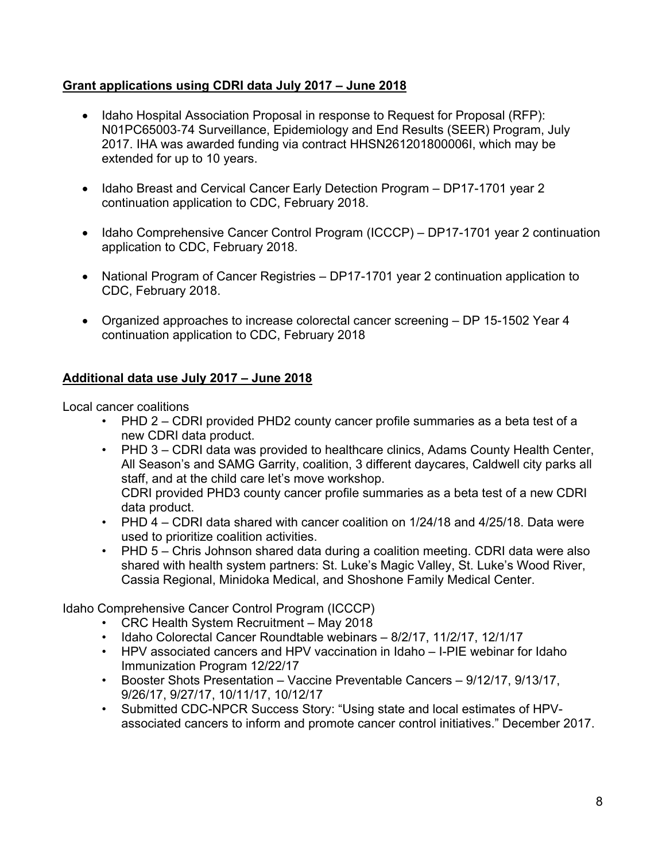## **Grant applications using CDRI data July 2017 – June 2018**

- Idaho Hospital Association Proposal in response to Request for Proposal (RFP): N01PC65003-74 Surveillance, Epidemiology and End Results (SEER) Program, July 2017. IHA was awarded funding via contract HHSN261201800006I, which may be extended for up to 10 years.
- Idaho Breast and Cervical Cancer Early Detection Program DP17-1701 year 2 continuation application to CDC, February 2018.
- Idaho Comprehensive Cancer Control Program (ICCCP) DP17-1701 year 2 continuation application to CDC, February 2018.
- National Program of Cancer Registries DP17-1701 year 2 continuation application to CDC, February 2018.
- Organized approaches to increase colorectal cancer screening DP 15-1502 Year 4 continuation application to CDC, February 2018

# **Additional data use July 2017 – June 2018**

Local cancer coalitions

- PHD 2 CDRI provided PHD2 county cancer profile summaries as a beta test of a new CDRI data product.
- PHD 3 CDRI data was provided to healthcare clinics, Adams County Health Center, All Season's and SAMG Garrity, coalition, 3 different daycares, Caldwell city parks all staff, and at the child care let's move workshop. CDRI provided PHD3 county cancer profile summaries as a beta test of a new CDRI data product.
- PHD 4 CDRI data shared with cancer coalition on 1/24/18 and 4/25/18. Data were used to prioritize coalition activities.
- PHD 5 Chris Johnson shared data during a coalition meeting. CDRI data were also shared with health system partners: St. Luke's Magic Valley, St. Luke's Wood River, Cassia Regional, Minidoka Medical, and Shoshone Family Medical Center.

Idaho Comprehensive Cancer Control Program (ICCCP)

- CRC Health System Recruitment May 2018
- Idaho Colorectal Cancer Roundtable webinars 8/2/17, 11/2/17, 12/1/17
- HPV associated cancers and HPV vaccination in Idaho I-PIE webinar for Idaho Immunization Program 12/22/17
- Booster Shots Presentation Vaccine Preventable Cancers 9/12/17, 9/13/17, 9/26/17, 9/27/17, 10/11/17, 10/12/17
- Submitted CDC-NPCR Success Story: "Using state and local estimates of HPVassociated cancers to inform and promote cancer control initiatives." December 2017.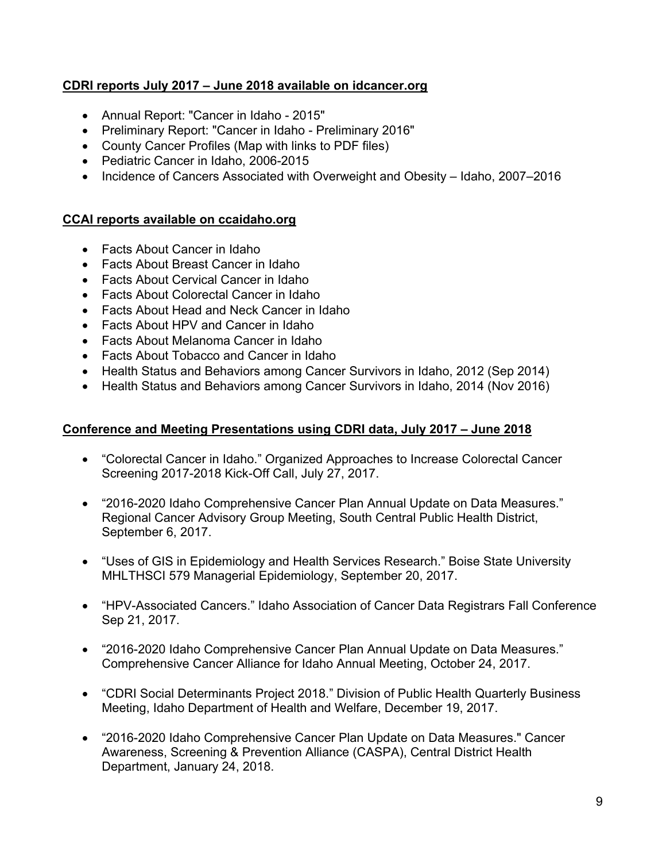# **CDRI reports July 2017 – June 2018 available on idcancer.org**

- Annual Report: "Cancer in Idaho 2015"
- Preliminary Report: "Cancer in Idaho Preliminary 2016"
- County Cancer Profiles (Map with links to PDF files)
- Pediatric Cancer in Idaho, 2006-2015
- Incidence of Cancers Associated with Overweight and Obesity Idaho, 2007–2016

# **CCAI reports available on ccaidaho.org**

- Facts About Cancer in Idaho
- Facts About Breast Cancer in Idaho
- Facts About Cervical Cancer in Idaho
- Facts About Colorectal Cancer in Idaho
- Facts About Head and Neck Cancer in Idaho
- Facts About HPV and Cancer in Idaho
- Facts About Melanoma Cancer in Idaho
- Facts About Tobacco and Cancer in Idaho
- Health Status and Behaviors among Cancer Survivors in Idaho, 2012 (Sep 2014)
- Health Status and Behaviors among Cancer Survivors in Idaho, 2014 (Nov 2016)

## **Conference and Meeting Presentations using CDRI data, July 2017 – June 2018**

- "Colorectal Cancer in Idaho." Organized Approaches to Increase Colorectal Cancer Screening 2017-2018 Kick-Off Call, July 27, 2017.
- "2016-2020 Idaho Comprehensive Cancer Plan Annual Update on Data Measures." Regional Cancer Advisory Group Meeting, South Central Public Health District, September 6, 2017.
- "Uses of GIS in Epidemiology and Health Services Research." Boise State University MHLTHSCI 579 Managerial Epidemiology, September 20, 2017.
- "HPV-Associated Cancers." Idaho Association of Cancer Data Registrars Fall Conference Sep 21, 2017.
- "2016-2020 Idaho Comprehensive Cancer Plan Annual Update on Data Measures." Comprehensive Cancer Alliance for Idaho Annual Meeting, October 24, 2017.
- "CDRI Social Determinants Project 2018." Division of Public Health Quarterly Business Meeting, Idaho Department of Health and Welfare, December 19, 2017.
- "2016-2020 Idaho Comprehensive Cancer Plan Update on Data Measures." Cancer Awareness, Screening & Prevention Alliance (CASPA), Central District Health Department, January 24, 2018.